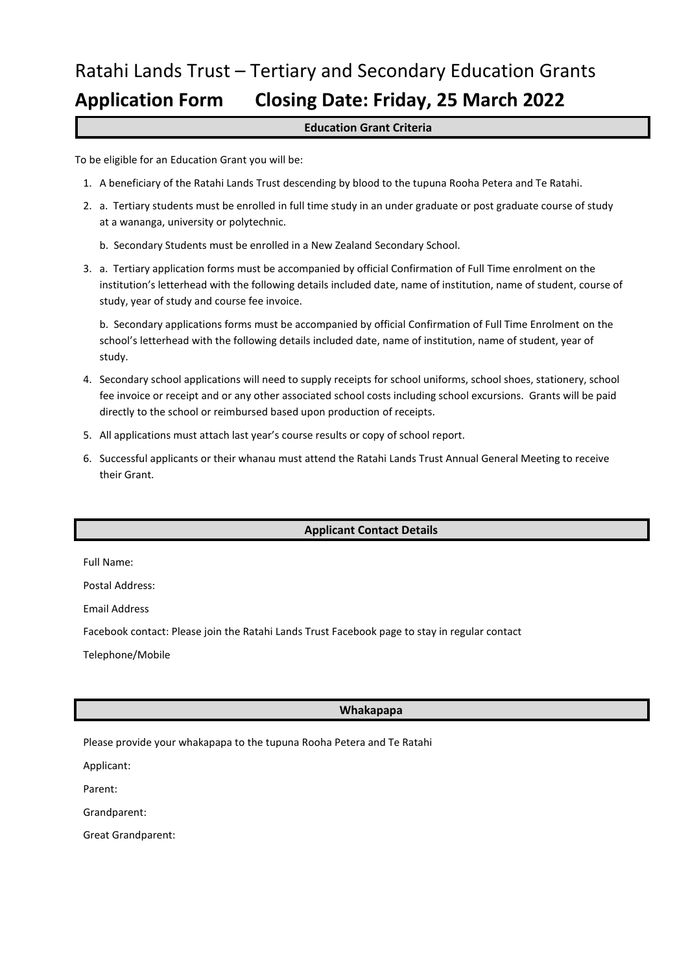# Ratahi Lands Trust – Tertiary and Secondary Education Grants **Application Form Closing Date: Friday, 25 March 2022**

## **Education Grant Criteria**

To be eligible for an Education Grant you will be:

- 1. A beneficiary of the Ratahi Lands Trust descending by blood to the tupuna Rooha Petera and Te Ratahi.
- 2. a. Tertiary students must be enrolled in full time study in an under graduate or post graduate course of study at a wananga, university or polytechnic.
	- b. Secondary Students must be enrolled in a New Zealand Secondary School.
- 3. a. Tertiary application forms must be accompanied by official Confirmation of Full Time enrolment on the institution's letterhead with the following details included date, name of institution, name of student, course of study, year of study and course fee invoice.

b. Secondary applications forms must be accompanied by official Confirmation of Full Time Enrolment on the school's letterhead with the following details included date, name of institution, name of student, year of study.

- 4. Secondary school applications will need to supply receipts for school uniforms, school shoes, stationery, school fee invoice or receipt and or any other associated school costs including school excursions. Grants will be paid directly to the school or reimbursed based upon production of receipts.
- 5. All applications must attach last year's course results or copy of school report.
- 6. Successful applicants or their whanau must attend the Ratahi Lands Trust Annual General Meeting to receive their Grant.

# **Applicant Contact Details**

Full Name:

Postal Address:

Email Address

Facebook contact: Please join the Ratahi Lands Trust Facebook page to stay in regular contact

Telephone/Mobile

### **Whakapapa**

Please provide your whakapapa to the tupuna Rooha Petera and Te Ratahi

Applicant:

Parent:

Grandparent:

Great Grandparent: